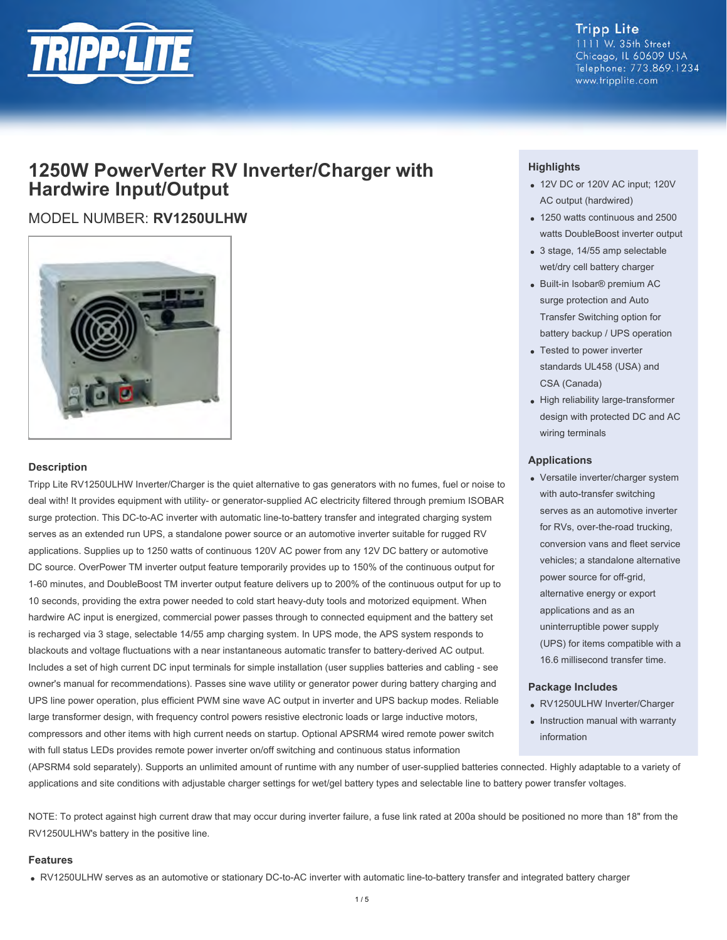

#### **Tripp Lite** 1111 W. 35th Street Chicago, IL 60609 USA Telephone: 773.869.1234 www.tripplite.com

# **1250W PowerVerter RV Inverter/Charger with Hardwire Input/Output**

# MODEL NUMBER: **RV1250ULHW**



# **Description**

Tripp Lite RV1250ULHW Inverter/Charger is the quiet alternative to gas generators with no fumes, fuel or noise to deal with! It provides equipment with utility- or generator-supplied AC electricity filtered through premium ISOBAR surge protection. This DC-to-AC inverter with automatic line-to-battery transfer and integrated charging system serves as an extended run UPS, a standalone power source or an automotive inverter suitable for rugged RV applications. Supplies up to 1250 watts of continuous 120V AC power from any 12V DC battery or automotive DC source. OverPower TM inverter output feature temporarily provides up to 150% of the continuous output for 1-60 minutes, and DoubleBoost TM inverter output feature delivers up to 200% of the continuous output for up to 10 seconds, providing the extra power needed to cold start heavy-duty tools and motorized equipment. When hardwire AC input is energized, commercial power passes through to connected equipment and the battery set is recharged via 3 stage, selectable 14/55 amp charging system. In UPS mode, the APS system responds to blackouts and voltage fluctuations with a near instantaneous automatic transfer to battery-derived AC output. Includes a set of high current DC input terminals for simple installation (user supplies batteries and cabling - see owner's manual for recommendations). Passes sine wave utility or generator power during battery charging and UPS line power operation, plus efficient PWM sine wave AC output in inverter and UPS backup modes. Reliable large transformer design, with frequency control powers resistive electronic loads or large inductive motors, compressors and other items with high current needs on startup. Optional APSRM4 wired remote power switch with full status LEDs provides remote power inverter on/off switching and continuous status information

# **Highlights**

- 12V DC or 120V AC input; 120V AC output (hardwired)
- 1250 watts continuous and 2500 watts DoubleBoost inverter output
- 3 stage, 14/55 amp selectable wet/dry cell battery charger
- Built-in Isobar® premium AC surge protection and Auto Transfer Switching option for battery backup / UPS operation
- Tested to power inverter standards UL458 (USA) and CSA (Canada)
- High reliability large-transformer design with protected DC and AC wiring terminals

### **Applications**

Versatile inverter/charger system with auto-transfer switching serves as an automotive inverter for RVs, over-the-road trucking, conversion vans and fleet service vehicles; a standalone alternative power source for off-grid, alternative energy or export applications and as an uninterruptible power supply (UPS) for items compatible with a 16.6 millisecond transfer time.

# **Package Includes**

- RV1250ULHW Inverter/Charger
- Instruction manual with warranty information

(APSRM4 sold separately). Supports an unlimited amount of runtime with any number of user-supplied batteries connected. Highly adaptable to a variety of applications and site conditions with adjustable charger settings for wet/gel battery types and selectable line to battery power transfer voltages.

NOTE: To protect against high current draw that may occur during inverter failure, a fuse link rated at 200a should be positioned no more than 18" from the RV1250ULHW's battery in the positive line.

### **Features**

RV1250ULHW serves as an automotive or stationary DC-to-AC inverter with automatic line-to-battery transfer and integrated battery charger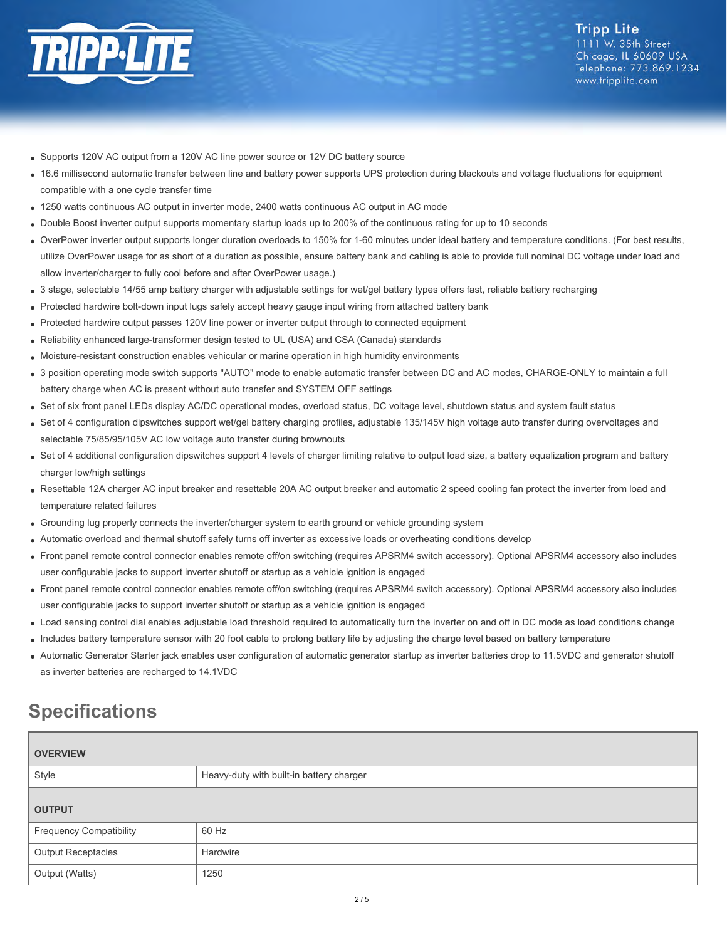

- Supports 120V AC output from a 120V AC line power source or 12V DC battery source
- 16.6 millisecond automatic transfer between line and battery power supports UPS protection during blackouts and voltage fluctuations for equipment compatible with a one cycle transfer time
- 1250 watts continuous AC output in inverter mode, 2400 watts continuous AC output in AC mode
- Double Boost inverter output supports momentary startup loads up to 200% of the continuous rating for up to 10 seconds
- OverPower inverter output supports longer duration overloads to 150% for 1-60 minutes under ideal battery and temperature conditions. (For best results, utilize OverPower usage for as short of a duration as possible, ensure battery bank and cabling is able to provide full nominal DC voltage under load and allow inverter/charger to fully cool before and after OverPower usage.)
- 3 stage, selectable 14/55 amp battery charger with adjustable settings for wet/gel battery types offers fast, reliable battery recharging
- Protected hardwire bolt-down input lugs safely accept heavy gauge input wiring from attached battery bank
- Protected hardwire output passes 120V line power or inverter output through to connected equipment
- Reliability enhanced large-transformer design tested to UL (USA) and CSA (Canada) standards
- Moisture-resistant construction enables vehicular or marine operation in high humidity environments
- 3 position operating mode switch supports "AUTO" mode to enable automatic transfer between DC and AC modes, CHARGE-ONLY to maintain a full battery charge when AC is present without auto transfer and SYSTEM OFF settings
- Set of six front panel LEDs display AC/DC operational modes, overload status, DC voltage level, shutdown status and system fault status
- Set of 4 configuration dipswitches support wet/gel battery charging profiles, adjustable 135/145V high voltage auto transfer during overvoltages and selectable 75/85/95/105V AC low voltage auto transfer during brownouts
- Set of 4 additional configuration dipswitches support 4 levels of charger limiting relative to output load size, a battery equalization program and battery charger low/high settings
- Resettable 12A charger AC input breaker and resettable 20A AC output breaker and automatic 2 speed cooling fan protect the inverter from load and temperature related failures
- Grounding lug properly connects the inverter/charger system to earth ground or vehicle grounding system
- Automatic overload and thermal shutoff safely turns off inverter as excessive loads or overheating conditions develop
- Front panel remote control connector enables remote off/on switching (requires APSRM4 switch accessory). Optional APSRM4 accessory also includes user configurable jacks to support inverter shutoff or startup as a vehicle ignition is engaged
- Front panel remote control connector enables remote off/on switching (requires APSRM4 switch accessory). Optional APSRM4 accessory also includes user configurable jacks to support inverter shutoff or startup as a vehicle ignition is engaged
- Load sensing control dial enables adjustable load threshold required to automatically turn the inverter on and off in DC mode as load conditions change
- Includes battery temperature sensor with 20 foot cable to prolong battery life by adjusting the charge level based on battery temperature
- Automatic Generator Starter jack enables user configuration of automatic generator startup as inverter batteries drop to 11.5VDC and generator shutoff as inverter batteries are recharged to 14.1VDC

# **Specifications**

| <b>OVERVIEW</b>                |                                          |  |
|--------------------------------|------------------------------------------|--|
| Style                          | Heavy-duty with built-in battery charger |  |
| <b>OUTPUT</b>                  |                                          |  |
| <b>Frequency Compatibility</b> | 60 Hz                                    |  |
| <b>Output Receptacles</b>      | Hardwire                                 |  |
| Output (Watts)                 | 1250                                     |  |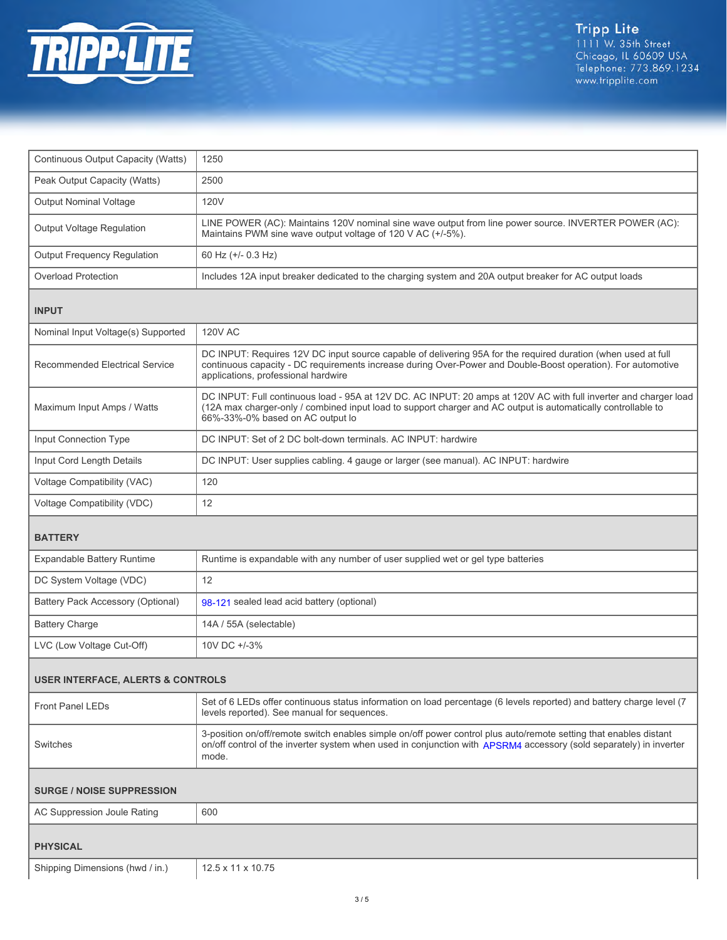

| Continuous Output Capacity (Watts)           | 1250                                                                                                                                                                                                                                                                  |  |
|----------------------------------------------|-----------------------------------------------------------------------------------------------------------------------------------------------------------------------------------------------------------------------------------------------------------------------|--|
| Peak Output Capacity (Watts)                 | 2500                                                                                                                                                                                                                                                                  |  |
| <b>Output Nominal Voltage</b>                | 120V                                                                                                                                                                                                                                                                  |  |
| Output Voltage Regulation                    | LINE POWER (AC): Maintains 120V nominal sine wave output from line power source. INVERTER POWER (AC):<br>Maintains PWM sine wave output voltage of 120 V AC (+/-5%).                                                                                                  |  |
| <b>Output Frequency Regulation</b>           | 60 Hz (+/- 0.3 Hz)                                                                                                                                                                                                                                                    |  |
| <b>Overload Protection</b>                   | Includes 12A input breaker dedicated to the charging system and 20A output breaker for AC output loads                                                                                                                                                                |  |
| <b>INPUT</b>                                 |                                                                                                                                                                                                                                                                       |  |
| Nominal Input Voltage(s) Supported           | <b>120V AC</b>                                                                                                                                                                                                                                                        |  |
| <b>Recommended Electrical Service</b>        | DC INPUT: Requires 12V DC input source capable of delivering 95A for the required duration (when used at full<br>continuous capacity - DC requirements increase during Over-Power and Double-Boost operation). For automotive<br>applications, professional hardwire  |  |
| Maximum Input Amps / Watts                   | DC INPUT: Full continuous load - 95A at 12V DC. AC INPUT: 20 amps at 120V AC with full inverter and charger load<br>(12A max charger-only / combined input load to support charger and AC output is automatically controllable to<br>66%-33%-0% based on AC output lo |  |
| Input Connection Type                        | DC INPUT: Set of 2 DC bolt-down terminals. AC INPUT: hardwire                                                                                                                                                                                                         |  |
| Input Cord Length Details                    | DC INPUT: User supplies cabling. 4 gauge or larger (see manual). AC INPUT: hardwire                                                                                                                                                                                   |  |
| Voltage Compatibility (VAC)                  | 120                                                                                                                                                                                                                                                                   |  |
| Voltage Compatibility (VDC)                  | 12                                                                                                                                                                                                                                                                    |  |
| <b>BATTERY</b>                               |                                                                                                                                                                                                                                                                       |  |
| <b>Expandable Battery Runtime</b>            | Runtime is expandable with any number of user supplied wet or gel type batteries                                                                                                                                                                                      |  |
| DC System Voltage (VDC)                      | 12                                                                                                                                                                                                                                                                    |  |
| Battery Pack Accessory (Optional)            | 98-121 sealed lead acid battery (optional)                                                                                                                                                                                                                            |  |
| <b>Battery Charge</b>                        | 14A / 55A (selectable)                                                                                                                                                                                                                                                |  |
| LVC (Low Voltage Cut-Off)                    | 10V DC +/-3%                                                                                                                                                                                                                                                          |  |
| <b>USER INTERFACE, ALERTS &amp; CONTROLS</b> |                                                                                                                                                                                                                                                                       |  |
|                                              |                                                                                                                                                                                                                                                                       |  |
| <b>Front Panel LEDs</b>                      | Set of 6 LEDs offer continuous status information on load percentage (6 levels reported) and battery charge level (7<br>levels reported). See manual for sequences.                                                                                                   |  |
| Switches                                     | 3-position on/off/remote switch enables simple on/off power control plus auto/remote setting that enables distant<br>on/off control of the inverter system when used in conjunction with APSRM4 accessory (sold separately) in inverter<br>mode.                      |  |
| <b>SURGE / NOISE SUPPRESSION</b>             |                                                                                                                                                                                                                                                                       |  |
| AC Suppression Joule Rating                  | 600                                                                                                                                                                                                                                                                   |  |
| <b>PHYSICAL</b>                              |                                                                                                                                                                                                                                                                       |  |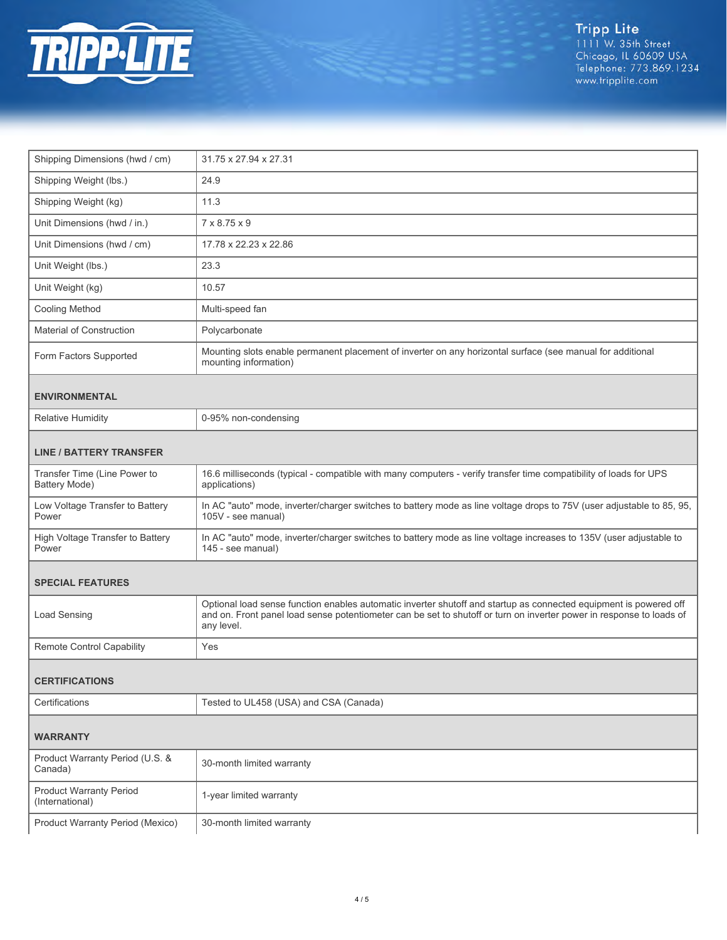

| Shipping Dimensions (hwd / cm)                    | 31.75 x 27.94 x 27.31                                                                                                                                                                                                                                   |  |
|---------------------------------------------------|---------------------------------------------------------------------------------------------------------------------------------------------------------------------------------------------------------------------------------------------------------|--|
| Shipping Weight (lbs.)                            | 24.9                                                                                                                                                                                                                                                    |  |
| Shipping Weight (kg)                              | 11.3                                                                                                                                                                                                                                                    |  |
| Unit Dimensions (hwd / in.)                       | 7 x 8.75 x 9                                                                                                                                                                                                                                            |  |
| Unit Dimensions (hwd / cm)                        | 17.78 x 22.23 x 22.86                                                                                                                                                                                                                                   |  |
| Unit Weight (lbs.)                                | 23.3                                                                                                                                                                                                                                                    |  |
| Unit Weight (kg)                                  | 10.57                                                                                                                                                                                                                                                   |  |
| Cooling Method                                    | Multi-speed fan                                                                                                                                                                                                                                         |  |
| <b>Material of Construction</b>                   | Polycarbonate                                                                                                                                                                                                                                           |  |
| Form Factors Supported                            | Mounting slots enable permanent placement of inverter on any horizontal surface (see manual for additional<br>mounting information)                                                                                                                     |  |
| <b>ENVIRONMENTAL</b>                              |                                                                                                                                                                                                                                                         |  |
| <b>Relative Humidity</b>                          | 0-95% non-condensing                                                                                                                                                                                                                                    |  |
| <b>LINE / BATTERY TRANSFER</b>                    |                                                                                                                                                                                                                                                         |  |
| Transfer Time (Line Power to<br>Battery Mode)     | 16.6 milliseconds (typical - compatible with many computers - verify transfer time compatibility of loads for UPS<br>applications)                                                                                                                      |  |
| Low Voltage Transfer to Battery<br>Power          | In AC "auto" mode, inverter/charger switches to battery mode as line voltage drops to 75V (user adjustable to 85, 95,<br>105V - see manual)                                                                                                             |  |
| High Voltage Transfer to Battery<br>Power         | In AC "auto" mode, inverter/charger switches to battery mode as line voltage increases to 135V (user adjustable to<br>145 - see manual)                                                                                                                 |  |
| <b>SPECIAL FEATURES</b>                           |                                                                                                                                                                                                                                                         |  |
| <b>Load Sensing</b>                               | Optional load sense function enables automatic inverter shutoff and startup as connected equipment is powered off<br>and on. Front panel load sense potentiometer can be set to shutoff or turn on inverter power in response to loads of<br>any level. |  |
| <b>Remote Control Capability</b>                  | Yes                                                                                                                                                                                                                                                     |  |
| <b>CERTIFICATIONS</b>                             |                                                                                                                                                                                                                                                         |  |
| Certifications                                    | Tested to UL458 (USA) and CSA (Canada)                                                                                                                                                                                                                  |  |
| <b>WARRANTY</b>                                   |                                                                                                                                                                                                                                                         |  |
| Product Warranty Period (U.S. &<br>Canada)        | 30-month limited warranty                                                                                                                                                                                                                               |  |
| <b>Product Warranty Period</b><br>(International) | 1-year limited warranty                                                                                                                                                                                                                                 |  |
| Product Warranty Period (Mexico)                  | 30-month limited warranty                                                                                                                                                                                                                               |  |